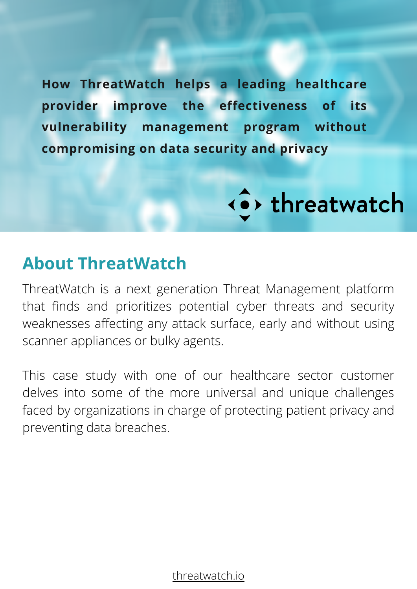**How ThreatWatch helps a leading healthcare provider improve the effectiveness of its vulnerability management program without compromising on data security and privacy**

< o> threatwatch

### **About ThreatWatch**

† ThreatWatch is a next generation Threat Management platform that finds and prioritizes potential cyber threats and security weaknesses affecting any attack surface, early and without using scanner appliances or bulky agents.

This case study with one of our healthcare sector customer delves into some of the more universal and unique challenges faced by organizations in charge of protecting patient privacy and preventing data breaches.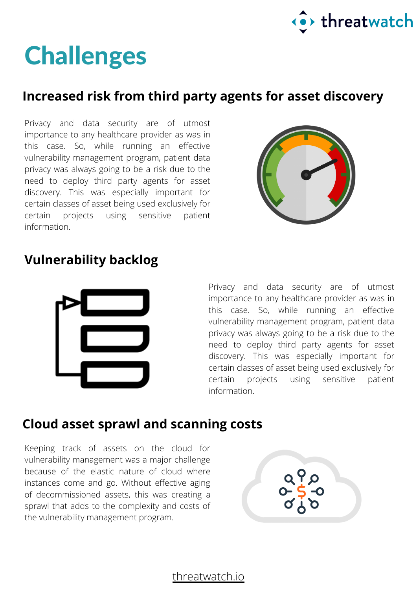

## **Challenges**

#### **Increased risk from third party agents for asset discovery**

Privacy and data security are of utmost importance to any healthcare provider as was in this case. So, while running an effective vulnerability management program, patient data privacy was always going to be a risk due to the need to deploy third party agents for asset discovery. This was especially important for certain classes of asset being used exclusively for certain projects using sensitive patient information.



#### **Vulnerability backlog**



Privacy and data security are of utmost importance to any healthcare provider as was in this case. So, while running an effective vulnerability management program, patient data privacy was always going to be a risk due to the need to deploy third party agents for asset discovery. This was especially important for certain classes of asset being used exclusively for certain projects using sensitive patient information.

#### **Cloud asset sprawl and scanning costs**

Keeping track of assets on the cloud for vulnerability management was a major challenge because of the elastic nature of cloud where instances come and go. Without effective aging of decommissioned assets, this was creating a sprawl that adds to the complexity and costs of the vulnerability management program.

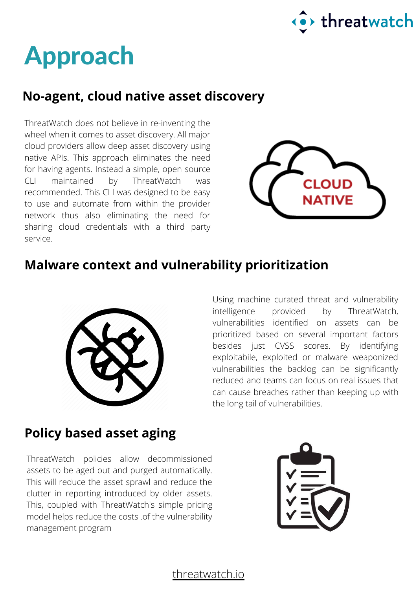

### Approach

#### **No-agent, cloud native asset discovery**

ThreatWatch does not believe in re-inventing the wheel when it comes to asset discovery. All major cloud providers allow deep asset discovery using native APIs. This approach eliminates the need for having agents. Instead a simple, open source CLI maintained by ThreatWatch was recommended. This CLI was designed to be easy to use and automate from within the provider network thus also eliminating the need for sharing cloud credentials with a third party service.



#### **Malware context and vulnerability prioritization**



Using machine curated threat and vulnerability intelligence provided by ThreatWatch, vulnerabilities identified on assets can be prioritized based on several important factors besides just CVSS scores. By identifying exploitabile, exploited or malware weaponized vulnerabilities the backlog can be significantly reduced and teams can focus on real issues that can cause breaches rather than keeping up with the long tail of vulnerabilities.

#### **Policy based asset aging**

ThreatWatch policies allow decommissioned assets to be aged out and purged automatically. This will reduce the asset sprawl and reduce the clutter in reporting introduced by older assets. This, coupled with ThreatWatch's simple pricing model helps reduce the costs .of the vulnerability management program

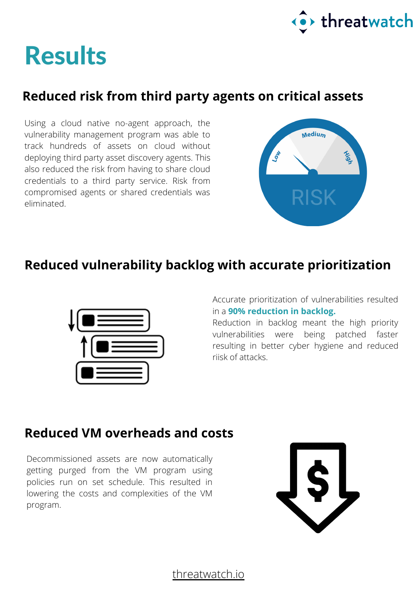

### **Results**

### **Reduced risk from third party agents on critical assets**

Using a cloud native no-agent approach, the vulnerability management program was able to track hundreds of assets on cloud without deploying third party asset discovery agents. This also reduced the risk from having to share cloud credentials to a third party service. Risk from compromised agents or shared credentials was eliminated.



#### **Reduced vulnerability backlog with accurate prioritization**



Accurate prioritization of vulnerabilities resulted in a **90% reduction in backlog.**

Reduction in backlog meant the high priority vulnerabilities were being patched faster resulting in better cyber hygiene and reduced riisk of attacks.

#### **Reduced VM overheads and costs**

Decommissioned assets are now automatically getting purged from the VM program using policies run on set schedule. This resulted in lowering the costs and complexities of the VM program.